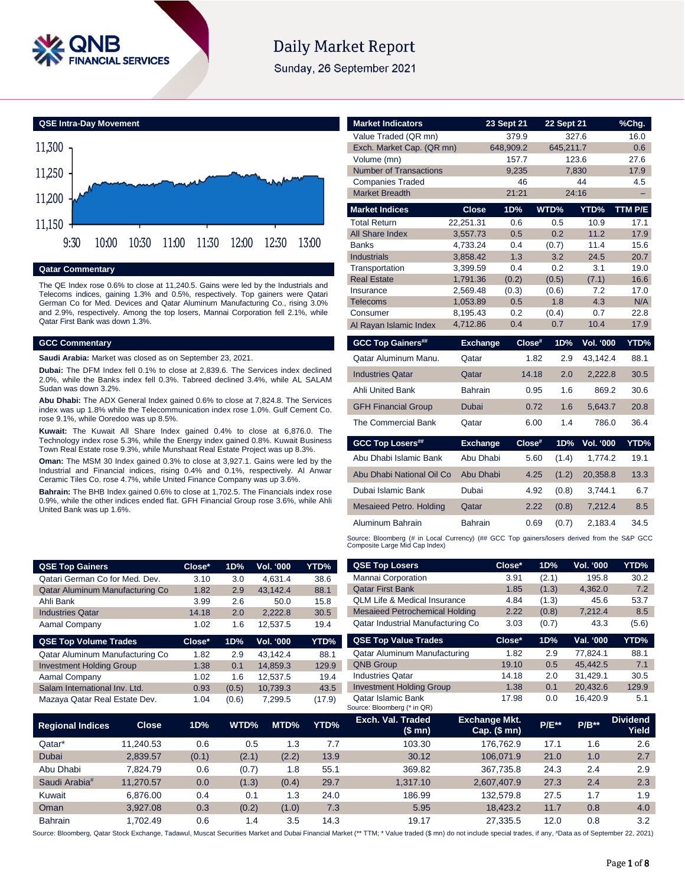

# **Daily Market Report**

Sunday, 26 September 2021



#### **Qatar Commentary**

The QE Index rose 0.6% to close at 11,240.5. Gains were led by the Industrials and Telecoms indices, gaining 1.3% and 0.5%, respectively. Top gainers were Qatari German Co for Med. Devices and Qatar Aluminum Manufacturing Co., rising 3.0% and 2.9%, respectively. Among the top losers, Mannai Corporation fell 2.1%, while Qatar First Bank was down 1.3%.

#### **GCC Commentary**

**Saudi Arabia:** Market was closed as on September 23, 2021.

**Dubai:** The DFM Index fell 0.1% to close at 2,839.6. The Services index declined 2.0%, while the Banks index fell 0.3%. Tabreed declined 3.4%, while AL SALAM Sudan was down 3.2%.

**Abu Dhabi:** The ADX General Index gained 0.6% to close at 7,824.8. The Services index was up 1.8% while the Telecommunication index rose 1.0%. Gulf Cement Co. rose 9.1%, while Ooredoo was up 8.5%.

**Kuwait:** The Kuwait All Share Index gained 0.4% to close at 6,876.0. The Technology index rose 5.3%, while the Energy index gained 0.8%. Kuwait Business Town Real Estate rose 9.3%, while Munshaat Real Estate Project was up 8.3%.

**Oman:** The MSM 30 Index gained 0.3% to close at 3,927.1. Gains were led by the Industrial and Financial indices, rising 0.4% and 0.1%, respectively. Al Anwar Ceramic Tiles Co. rose 4.7%, while United Finance Company was up 3.6%.

**Bahrain:** The BHB Index gained 0.6% to close at 1,702.5. The Financials index rose 0.9%, while the other indices ended flat. GFH Financial Group rose 3.6%, while Ahli United Bank was up 1.6%.

**QSE Top Gainers Close\* 1D% Vol. '000 YTD%**

| <b>Market Indicators</b>       |                      | 23 Sept 21   | 22 Sept 21   |                  | %Chg.       |
|--------------------------------|----------------------|--------------|--------------|------------------|-------------|
| Value Traded (QR mn)           |                      | 379.9        | 327.6        |                  | 16.0        |
| Exch. Market Cap. (QR mn)      |                      | 648,909.2    | 645.211.7    |                  | 0.6         |
| Volume (mn)                    |                      | 157.7        | 123.6        |                  | 27.6        |
| <b>Number of Transactions</b>  |                      | 9,235        | 7,830        |                  | 17.9        |
| <b>Companies Traded</b>        |                      | 46           |              | 44               | 4.5         |
| <b>Market Breadth</b>          |                      | 21:21        | 24:16        |                  |             |
| <b>Market Indices</b>          | <b>Close</b>         | 1D%          | WTD%         | YTD%             | TTM P/E     |
| <b>Total Return</b>            | 22.251.31            | 0.6          | 0.5          | 10.9             | 17.1        |
| All Share Index                | 3,557.73             | 0.5          | 0.2          | 11.2             | 17.9        |
| <b>Banks</b>                   | 4,733.24             | 0.4          | (0.7)        | 11.4             | 15.6        |
| <b>Industrials</b>             | 3,858.42             | 1.3          | 3.2          | 24.5             | 20.7        |
| Transportation                 | 3,399.59             | 0.4          | 0.2          | 3.1              | 19.0        |
| <b>Real Estate</b>             | 1,791.36             | (0.2)        | (0.5)        | (7.1)            | 16.6        |
| Insurance<br><b>Telecoms</b>   | 2,569.48<br>1,053.89 | (0.3)<br>0.5 | (0.6)<br>1.8 | 7.2<br>4.3       | 17.0<br>N/A |
| Consumer                       | 8.195.43             | 0.2          | (0.4)        | 0.7              | 22.8        |
| Al Rayan Islamic Index         | 4,712.86             | 0.4          | 0.7          | 10.4             | 17.9        |
|                                |                      |              |              |                  |             |
| <b>GCC Top Gainers##</b>       | <b>Exchange</b>      | Close#       | 1D%          | Vol. '000        | YTD%        |
| Qatar Aluminum Manu.           | Qatar                | 1.82         | 2.9          | 43,142.4         | 88.1        |
| <b>Industries Qatar</b>        | Qatar                | 14.18        | 2.0          | 2.222.8          | 30.5        |
| Ahli United Bank               | <b>Bahrain</b>       | 0.95         | 1.6          | 869.2            | 30.6        |
| <b>GFH Financial Group</b>     | <b>Dubai</b>         | 0.72         | 1.6          | 5,643.7          | 20.8        |
| The Commercial Bank            | Qatar                | 6.00         | 1.4          | 786.0            | 36.4        |
| <b>GCC Top Losers##</b>        | <b>Exchange</b>      | Close#       | 1D%          | <b>Vol. '000</b> | YTD%        |
| Abu Dhabi Islamic Bank         | Abu Dhabi            | 5.60         | (1.4)        | 1.774.2          | 19.1        |
| Abu Dhabi National Oil Co      | <b>Abu Dhabi</b>     | 4.25         | (1.2)        | 20,358.8         | 13.3        |
|                                |                      |              |              |                  |             |
| Dubai Islamic Bank             | Dubai                | 4.92         | (0.8)        | 3,744.1          | 6.7         |
| <b>Mesaieed Petro. Holding</b> | Qatar                | 2.22         | (0.8)        | 7,212.4          | 8.5         |
| Aluminum Bahrain               | <b>Bahrain</b>       | 0.69         | (0.7)        | 2,183.4          | 34.5        |

Source: Bloomberg (# in Local Currency) (## GCC Top gainers/losers derived from the S&P GCC Composite Large Mid Cap Index) **QSE Top Losers Close\* 1D% Vol. '000 YTD%**

| Qatari German Co for Med. Dev.  |              | 3.10   | 3.0   | 4,631.4   | 38.6   | Mannai Corporation                      | 3.91                                     | (2.1)      | 195.8     | 30.2                     |
|---------------------------------|--------------|--------|-------|-----------|--------|-----------------------------------------|------------------------------------------|------------|-----------|--------------------------|
| Qatar Aluminum Manufacturing Co |              | 1.82   | 2.9   | 43,142.4  | 88.1   | <b>Qatar First Bank</b>                 | 1.85                                     | (1.3)      | 4,362.0   | 7.2                      |
| Ahli Bank                       |              | 3.99   | 2.6   | 50.0      | 15.8   | <b>QLM Life &amp; Medical Insurance</b> | 4.84                                     | (1.3)      | 45.6      | 53.7                     |
| <b>Industries Qatar</b>         |              | 14.18  | 2.0   | 2,222.8   | 30.5   | <b>Mesaieed Petrochemical Holding</b>   | 2.22                                     | (0.8)      | 7,212.4   | 8.5                      |
| <b>Aamal Company</b>            |              | 1.02   | 1.6   | 12,537.5  | 19.4   | Qatar Industrial Manufacturing Co       | 3.03                                     | (0.7)      | 43.3      | (5.6)                    |
| <b>QSE Top Volume Trades</b>    |              | Close* | 1D%   | Vol. '000 | YTD%   | <b>QSE Top Value Trades</b>             | Close*                                   | 1D%        | Val. '000 | YTD%                     |
| Qatar Aluminum Manufacturing Co |              | 1.82   | 2.9   | 43,142.4  | 88.1   | <b>Qatar Aluminum Manufacturing</b>     | 1.82                                     | 2.9        | 77,824.1  | 88.1                     |
| <b>Investment Holding Group</b> |              | 1.38   | 0.1   | 14,859.3  | 129.9  | <b>QNB Group</b>                        | 19.10                                    | 0.5        | 45,442.5  | 7.1                      |
| Aamal Company                   |              | 1.02   | 1.6   | 12,537.5  | 19.4   | <b>Industries Qatar</b>                 | 14.18                                    | 2.0        | 31,429.1  | 30.5                     |
| Salam International Inv. Ltd.   |              | 0.93   | (0.5) | 10,739.3  | 43.5   | <b>Investment Holding Group</b>         | 1.38                                     | 0.1        | 20,432.6  | 129.9                    |
| Mazaya Qatar Real Estate Dev.   |              | 1.04   | (0.6) | 7,299.5   | (17.9) | <b>Qatar Islamic Bank</b>               | 17.98                                    | 0.0        | 16,420.9  | 5.1                      |
|                                 |              |        |       |           |        | Source: Bloomberg (* in QR)             |                                          |            |           |                          |
| <b>Regional Indices</b>         | <b>Close</b> | 1D%    | WTD%  | MTD%      | YTD%   | Exch. Val. Traded<br>(\$mn)             | <b>Exchange Mkt.</b><br>Cap. $($$ mn $)$ | $P/E^{**}$ | $P/B**$   | <b>Dividend</b><br>Yield |
| Qatar*                          | 11,240.53    | 0.6    | 0.5   | 1.3       | 7.7    | 103.30                                  | 176,762.9                                | 17.1       | 1.6       | 2.6                      |
| Dubai                           | 2,839.57     | (0.1)  | (2.1) | (2.2)     | 13.9   | 30.12                                   | 106,071.9                                | 21.0       | 1.0       | 2.7                      |
| Abu Dhabi                       | 7,824.79     | 0.6    | (0.7) | 1.8       | 55.1   | 369.82                                  | 367,735.8                                | 24.3       | 2.4       | 2.9                      |
| Saudi Arabia <sup>#</sup>       | 11,270.57    | 0.0    | (1.3) | (0.4)     | 29.7   | 1,317.10                                | 2,607,407.9                              | 27.3       | 2.4       | 2.3                      |
| Kuwait                          | 6,876.00     | 0.4    | 0.1   | 1.3       | 24.0   | 186.99                                  | 132,579.8                                | 27.5       | 1.7       | 1.9                      |
| Oman                            | 3,927.08     | 0.3    | (0.2) | (1.0)     | 7.3    | 5.95                                    | 18,423.2                                 | 11.7       | 0.8       | 4.0                      |

Source: Bloomberg, Qatar Stock Exchange, Tadawul, Muscat Securities Market and Dubai Financial Market (\*\* TTM; \* Value traded (\$ mn) do not include special trades, if any, #Data as of September 22, 2021)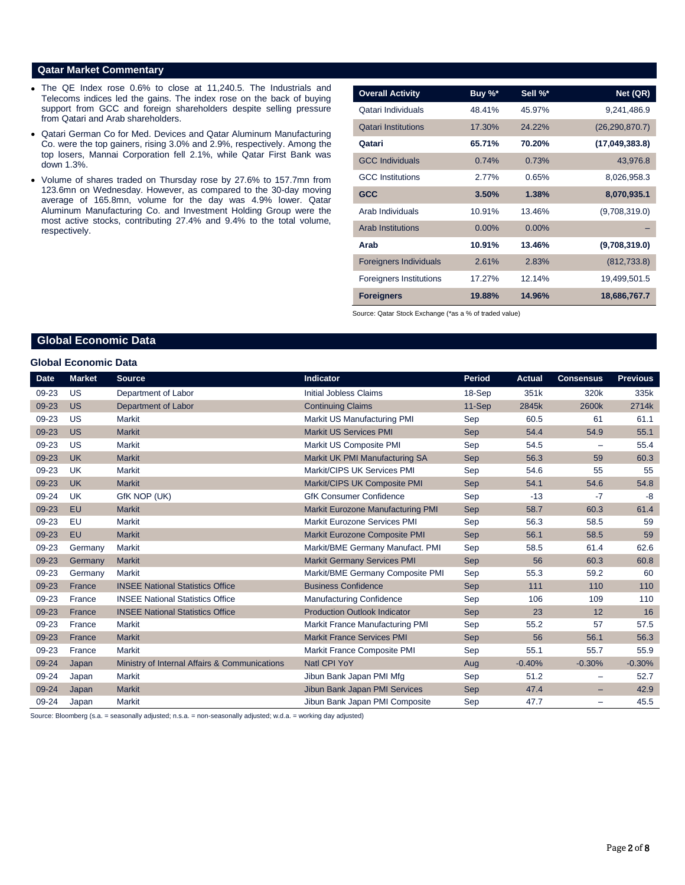### **Qatar Market Commentary**

- The QE Index rose 0.6% to close at 11,240.5. The Industrials and Telecoms indices led the gains. The index rose on the back of buying support from GCC and foreign shareholders despite selling pressure from Qatari and Arab shareholders.
- Qatari German Co for Med. Devices and Qatar Aluminum Manufacturing Co. were the top gainers, rising 3.0% and 2.9%, respectively. Among the top losers, Mannai Corporation fell 2.1%, while Qatar First Bank was down 1.3%.
- Volume of shares traded on Thursday rose by 27.6% to 157.7mn from 123.6mn on Wednesday. However, as compared to the 30-day moving average of 165.8mn, volume for the day was 4.9% lower. Qatar Aluminum Manufacturing Co. and Investment Holding Group were the most active stocks, contributing 27.4% and 9.4% to the total volume, respectively.

| <b>Overall Activity</b>        | Buy %*   | Sell %*  | Net (QR)         |
|--------------------------------|----------|----------|------------------|
| Qatari Individuals             | 48.41%   | 45.97%   | 9,241,486.9      |
| <b>Qatari Institutions</b>     | 17.30%   | 24.22%   | (26, 290, 870.7) |
| Qatari                         | 65.71%   | 70.20%   | (17,049,383.8)   |
| <b>GCC Individuals</b>         | 0.74%    | 0.73%    | 43,976.8         |
| <b>GCC</b> Institutions        | 2.77%    | 0.65%    | 8,026,958.3      |
| <b>GCC</b>                     | 3.50%    | 1.38%    | 8,070,935.1      |
| Arab Individuals               | 10.91%   | 13.46%   | (9,708,319.0)    |
| <b>Arab Institutions</b>       | $0.00\%$ | $0.00\%$ |                  |
| Arab                           | 10.91%   | 13.46%   | (9,708,319.0)    |
| <b>Foreigners Individuals</b>  | 2.61%    | 2.83%    | (812, 733.8)     |
| <b>Foreigners Institutions</b> | 17.27%   | 12.14%   | 19,499,501.5     |
| <b>Foreigners</b>              | 19.88%   | 14.96%   | 18,686,767.7     |

Source: Qatar Stock Exchange (\*as a % of traded value)

# **Global Economic Data**

#### **Global Economic Data**

| <b>Date</b> | <b>Market</b> | <b>Source</b>                                 | <b>Indicator</b>                         | <b>Period</b> | <b>Actual</b> | <b>Consensus</b> | <b>Previous</b> |
|-------------|---------------|-----------------------------------------------|------------------------------------------|---------------|---------------|------------------|-----------------|
| 09-23       | US            | Department of Labor                           | <b>Initial Jobless Claims</b>            | 18-Sep        | 351k          | 320k             | 335k            |
| 09-23       | <b>US</b>     | Department of Labor                           | <b>Continuing Claims</b>                 | 11-Sep        | 2845k         | 2600k            | 2714k           |
| 09-23       | US            | <b>Markit</b>                                 | Markit US Manufacturing PMI              | Sep           | 60.5          | 61               | 61.1            |
| 09-23       | <b>US</b>     | <b>Markit</b>                                 | <b>Markit US Services PMI</b>            | <b>Sep</b>    | 54.4          | 54.9             | 55.1            |
| 09-23       | US            | <b>Markit</b>                                 | Markit US Composite PMI                  | Sep           | 54.5          |                  | 55.4            |
| 09-23       | <b>UK</b>     | <b>Markit</b>                                 | Markit UK PMI Manufacturing SA           | <b>Sep</b>    | 56.3          | 59               | 60.3            |
| 09-23       | UK            | <b>Markit</b>                                 | Markit/CIPS UK Services PMI              | Sep           | 54.6          | 55               | 55              |
| 09-23       | <b>UK</b>     | <b>Markit</b>                                 | Markit/CIPS UK Composite PMI             | <b>Sep</b>    | 54.1          | 54.6             | 54.8            |
| 09-24       | <b>UK</b>     | GfK NOP (UK)                                  | <b>GfK Consumer Confidence</b>           | Sep           | $-13$         | $-7$             | -8              |
| 09-23       | EU            | <b>Markit</b>                                 | <b>Markit Eurozone Manufacturing PMI</b> | <b>Sep</b>    | 58.7          | 60.3             | 61.4            |
| 09-23       | EU            | <b>Markit</b>                                 | Markit Eurozone Services PMI             | Sep           | 56.3          | 58.5             | 59              |
| 09-23       | EU            | <b>Markit</b>                                 | Markit Eurozone Composite PMI            | <b>Sep</b>    | 56.1          | 58.5             | 59              |
| 09-23       | Germany       | <b>Markit</b>                                 | Markit/BME Germany Manufact. PMI         | Sep           | 58.5          | 61.4             | 62.6            |
| 09-23       | Germany       | <b>Markit</b>                                 | <b>Markit Germany Services PMI</b>       | Sep           | 56            | 60.3             | 60.8            |
| 09-23       | Germany       | Markit                                        | Markit/BME Germany Composite PMI         | Sep           | 55.3          | 59.2             | 60              |
| 09-23       | France        | <b>INSEE National Statistics Office</b>       | <b>Business Confidence</b>               | <b>Sep</b>    | 111           | 110              | 110             |
| 09-23       | France        | <b>INSEE National Statistics Office</b>       | <b>Manufacturing Confidence</b>          | Sep           | 106           | 109              | 110             |
| 09-23       | France        | <b>INSEE National Statistics Office</b>       | <b>Production Outlook Indicator</b>      | <b>Sep</b>    | 23            | 12               | 16              |
| 09-23       | France        | <b>Markit</b>                                 | Markit France Manufacturing PMI          | Sep           | 55.2          | 57               | 57.5            |
| 09-23       | France        | <b>Markit</b>                                 | <b>Markit France Services PMI</b>        | <b>Sep</b>    | 56            | 56.1             | 56.3            |
| 09-23       | France        | <b>Markit</b>                                 | Markit France Composite PMI              | Sep           | 55.1          | 55.7             | 55.9            |
| 09-24       | Japan         | Ministry of Internal Affairs & Communications | Natl CPI YoY                             | Aug           | $-0.40%$      | $-0.30%$         | $-0.30%$        |
| 09-24       | Japan         | <b>Markit</b>                                 | Jibun Bank Japan PMI Mfg                 | Sep           | 51.2          | -                | 52.7            |
| 09-24       | Japan         | <b>Markit</b>                                 | <b>Jibun Bank Japan PMI Services</b>     | <b>Sep</b>    | 47.4          | -                | 42.9            |
| 09-24       | Japan         | <b>Markit</b>                                 | Jibun Bank Japan PMI Composite           | Sep           | 47.7          | -                | 45.5            |

Source: Bloomberg (s.a. = seasonally adjusted; n.s.a. = non-seasonally adjusted; w.d.a. = working day adjusted)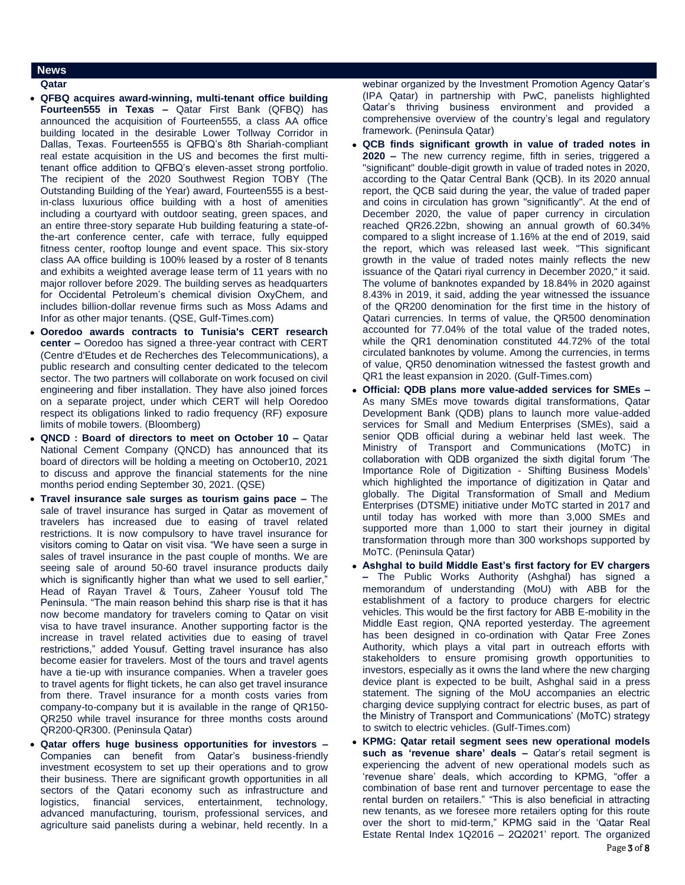### **News**

- **Qatar**
- **QFBQ acquires award-winning, multi-tenant office building Fourteen555 in Texas –** Qatar First Bank (QFBQ) has announced the acquisition of Fourteen555, a class AA office building located in the desirable Lower Tollway Corridor in Dallas, Texas. Fourteen555 is QFBQ's 8th Shariah-compliant real estate acquisition in the US and becomes the first multitenant office addition to QFBQ's eleven-asset strong portfolio. The recipient of the 2020 Southwest Region TOBY (The Outstanding Building of the Year) award, Fourteen555 is a bestin-class luxurious office building with a host of amenities including a courtyard with outdoor seating, green spaces, and an entire three-story separate Hub building featuring a state-ofthe-art conference center, cafe with terrace, fully equipped fitness center, rooftop lounge and event space. This six-story class AA office building is 100% leased by a roster of 8 tenants and exhibits a weighted average lease term of 11 years with no major rollover before 2029. The building serves as headquarters for Occidental Petroleum's chemical division OxyChem, and includes billion-dollar revenue firms such as Moss Adams and Infor as other major tenants. (QSE, Gulf-Times.com)
- **Ooredoo awards contracts to Tunisia's CERT research center –** Ooredoo has signed a three-year contract with CERT (Centre d'Etudes et de Recherches des Telecommunications), a public research and consulting center dedicated to the telecom sector. The two partners will collaborate on work focused on civil engineering and fiber installation. They have also joined forces on a separate project, under which CERT will help Ooredoo respect its obligations linked to radio frequency (RF) exposure limits of mobile towers. (Bloomberg)
- **QNCD : Board of directors to meet on October 10 –** Qatar National Cement Company (QNCD) has announced that its board of directors will be holding a meeting on October10, 2021 to discuss and approve the financial statements for the nine months period ending September 30, 2021. (QSE)
- **Travel insurance sale surges as tourism gains pace –** The sale of travel insurance has surged in Qatar as movement of travelers has increased due to easing of travel related restrictions. It is now compulsory to have travel insurance for visitors coming to Qatar on visit visa. "We have seen a surge in sales of travel insurance in the past couple of months. We are seeing sale of around 50-60 travel insurance products daily which is significantly higher than what we used to sell earlier," Head of Rayan Travel & Tours, Zaheer Yousuf told The Peninsula. "The main reason behind this sharp rise is that it has now become mandatory for travelers coming to Qatar on visit visa to have travel insurance. Another supporting factor is the increase in travel related activities due to easing of travel restrictions," added Yousuf. Getting travel insurance has also become easier for travelers. Most of the tours and travel agents have a tie-up with insurance companies. When a traveler goes to travel agents for flight tickets, he can also get travel insurance from there. Travel insurance for a month costs varies from company-to-company but it is available in the range of QR150- QR250 while travel insurance for three months costs around QR200-QR300. (Peninsula Qatar)
- **Qatar offers huge business opportunities for investors –** Companies can benefit from Qatar's business-friendly investment ecosystem to set up their operations and to grow their business. There are significant growth opportunities in all sectors of the Qatari economy such as infrastructure and logistics, financial services, entertainment, technology, advanced manufacturing, tourism, professional services, and agriculture said panelists during a webinar, held recently. In a

webinar organized by the Investment Promotion Agency Qatar's (IPA Qatar) in partnership with PwC, panelists highlighted Qatar's thriving business environment and provided a comprehensive overview of the country's legal and regulatory framework. (Peninsula Qatar)

- **QCB finds significant growth in value of traded notes in 2020 –** The new currency regime, fifth in series, triggered a "significant" double-digit growth in value of traded notes in 2020, according to the Qatar Central Bank (QCB). In its 2020 annual report, the QCB said during the year, the value of traded paper and coins in circulation has grown "significantly". At the end of December 2020, the value of paper currency in circulation reached QR26.22bn, showing an annual growth of 60.34% compared to a slight increase of 1.16% at the end of 2019, said the report, which was released last week. "This significant growth in the value of traded notes mainly reflects the new issuance of the Qatari riyal currency in December 2020," it said. The volume of banknotes expanded by 18.84% in 2020 against 8.43% in 2019, it said, adding the year witnessed the issuance of the QR200 denomination for the first time in the history of Qatari currencies. In terms of value, the QR500 denomination accounted for 77.04% of the total value of the traded notes, while the QR1 denomination constituted 44.72% of the total circulated banknotes by volume. Among the currencies, in terms of value, QR50 denomination witnessed the fastest growth and QR1 the least expansion in 2020. (Gulf-Times.com)
- **Official: QDB plans more value-added services for SMEs –** As many SMEs move towards digital transformations, Qatar Development Bank (QDB) plans to launch more value-added services for Small and Medium Enterprises (SMEs), said a senior QDB official during a webinar held last week. The Ministry of Transport and Communications (MoTC) in collaboration with QDB organized the sixth digital forum 'The Importance Role of Digitization - Shifting Business Models' which highlighted the importance of digitization in Qatar and globally. The Digital Transformation of Small and Medium Enterprises (DTSME) initiative under MoTC started in 2017 and until today has worked with more than 3,000 SMEs and supported more than 1,000 to start their journey in digital transformation through more than 300 workshops supported by MoTC. (Peninsula Qatar)
- **Ashghal to build Middle East's first factory for EV chargers –** The Public Works Authority (Ashghal) has signed a memorandum of understanding (MoU) with ABB for the establishment of a factory to produce chargers for electric vehicles. This would be the first factory for ABB E-mobility in the Middle East region, QNA reported yesterday. The agreement has been designed in co-ordination with Qatar Free Zones Authority, which plays a vital part in outreach efforts with stakeholders to ensure promising growth opportunities to investors, especially as it owns the land where the new charging device plant is expected to be built, Ashghal said in a press statement. The signing of the MoU accompanies an electric charging device supplying contract for electric buses, as part of the Ministry of Transport and Communications' (MoTC) strategy to switch to electric vehicles. (Gulf-Times.com)
- **KPMG: Qatar retail segment sees new operational models such as 'revenue share' deals –** Qatar's retail segment is experiencing the advent of new operational models such as 'revenue share' deals, which according to KPMG, "offer a combination of base rent and turnover percentage to ease the rental burden on retailers." "This is also beneficial in attracting new tenants, as we foresee more retailers opting for this route over the short to mid-term," KPMG said in the 'Qatar Real Estate Rental Index 1Q2016 – 2Q2021' report. The organized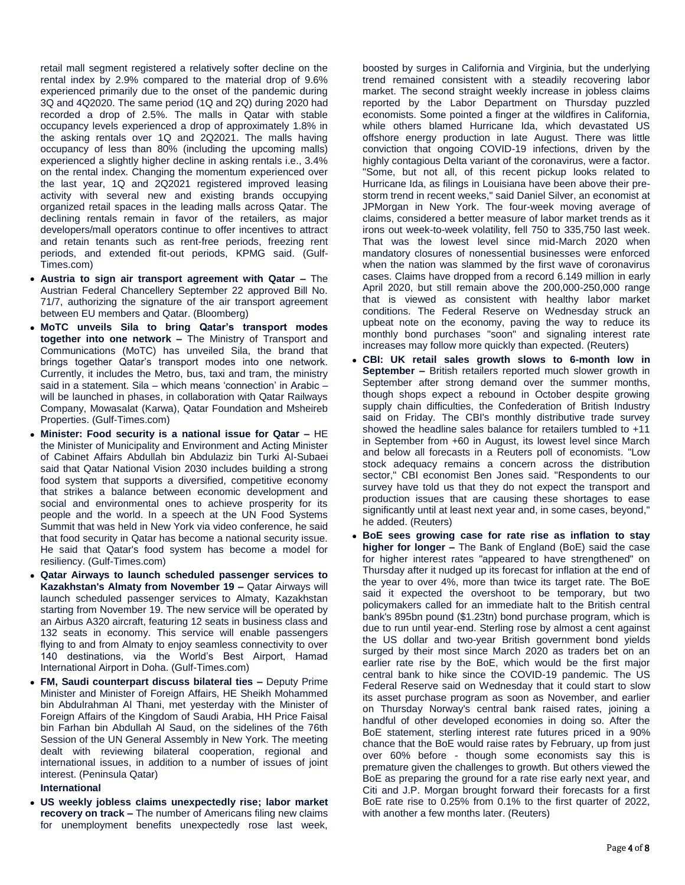retail mall segment registered a relatively softer decline on the rental index by 2.9% compared to the material drop of 9.6% experienced primarily due to the onset of the pandemic during 3Q and 4Q2020. The same period (1Q and 2Q) during 2020 had recorded a drop of 2.5%. The malls in Qatar with stable occupancy levels experienced a drop of approximately 1.8% in the asking rentals over 1Q and 2Q2021. The malls having occupancy of less than 80% (including the upcoming malls) experienced a slightly higher decline in asking rentals i.e., 3.4% on the rental index. Changing the momentum experienced over the last year, 1Q and 2Q2021 registered improved leasing activity with several new and existing brands occupying organized retail spaces in the leading malls across Qatar. The declining rentals remain in favor of the retailers, as major developers/mall operators continue to offer incentives to attract and retain tenants such as rent-free periods, freezing rent periods, and extended fit-out periods, KPMG said. (Gulf-Times.com)

- **Austria to sign air transport agreement with Qatar –** The Austrian Federal Chancellery September 22 approved Bill No. 71/7, authorizing the signature of the air transport agreement between EU members and Qatar. (Bloomberg)
- **MoTC unveils Sila to bring Qatar's transport modes together into one network –** The Ministry of Transport and Communications (MoTC) has unveiled Sila, the brand that brings together Qatar's transport modes into one network. Currently, it includes the Metro, bus, taxi and tram, the ministry said in a statement. Sila – which means 'connection' in Arabic – will be launched in phases, in collaboration with Qatar Railways Company, Mowasalat (Karwa), Qatar Foundation and Msheireb Properties. (Gulf-Times.com)
- **Minister: Food security is a national issue for Qatar –** HE the Minister of Municipality and Environment and Acting Minister of Cabinet Affairs Abdullah bin Abdulaziz bin Turki Al-Subaei said that Qatar National Vision 2030 includes building a strong food system that supports a diversified, competitive economy that strikes a balance between economic development and social and environmental ones to achieve prosperity for its people and the world. In a speech at the UN Food Systems Summit that was held in New York via video conference, he said that food security in Qatar has become a national security issue. He said that Qatar's food system has become a model for resiliency. (Gulf-Times.com)
- **Qatar Airways to launch scheduled passenger services to Kazakhstan's Almaty from November 19 –** Qatar Airways will launch scheduled passenger services to Almaty, Kazakhstan starting from November 19. The new service will be operated by an Airbus A320 aircraft, featuring 12 seats in business class and 132 seats in economy. This service will enable passengers flying to and from Almaty to enjoy seamless connectivity to over 140 destinations, via the World's Best Airport, Hamad International Airport in Doha. (Gulf-Times.com)
- **FM, Saudi counterpart discuss bilateral ties –** Deputy Prime Minister and Minister of Foreign Affairs, HE Sheikh Mohammed bin Abdulrahman Al Thani, met yesterday with the Minister of Foreign Affairs of the Kingdom of Saudi Arabia, HH Price Faisal bin Farhan bin Abdullah Al Saud, on the sidelines of the 76th Session of the UN General Assembly in New York. The meeting dealt with reviewing bilateral cooperation, regional and international issues, in addition to a number of issues of joint interest. (Peninsula Qatar)

### **International**

 **US weekly jobless claims unexpectedly rise; labor market recovery on track –** The number of Americans filing new claims for unemployment benefits unexpectedly rose last week,

boosted by surges in California and Virginia, but the underlying trend remained consistent with a steadily recovering labor market. The second straight weekly increase in jobless claims reported by the Labor Department on Thursday puzzled economists. Some pointed a finger at the wildfires in California, while others blamed Hurricane Ida, which devastated US offshore energy production in late August. There was little conviction that ongoing COVID-19 infections, driven by the highly contagious Delta variant of the coronavirus, were a factor. "Some, but not all, of this recent pickup looks related to Hurricane Ida, as filings in Louisiana have been above their prestorm trend in recent weeks," said Daniel Silver, an economist at JPMorgan in New York. The four-week moving average of claims, considered a better measure of labor market trends as it irons out week-to-week volatility, fell 750 to 335,750 last week. That was the lowest level since mid-March 2020 when mandatory closures of nonessential businesses were enforced when the nation was slammed by the first wave of coronavirus cases. Claims have dropped from a record 6.149 million in early April 2020, but still remain above the 200,000-250,000 range that is viewed as consistent with healthy labor market conditions. The Federal Reserve on Wednesday struck an upbeat note on the economy, paving the way to reduce its monthly bond purchases "soon" and signaling interest rate increases may follow more quickly than expected. (Reuters)

- **CBI: UK retail sales growth slows to 6-month low in September –** British retailers reported much slower growth in September after strong demand over the summer months, though shops expect a rebound in October despite growing supply chain difficulties, the Confederation of British Industry said on Friday. The CBI's monthly distributive trade survey showed the headline sales balance for retailers tumbled to +11 in September from +60 in August, its lowest level since March and below all forecasts in a Reuters poll of economists. "Low stock adequacy remains a concern across the distribution sector," CBI economist Ben Jones said. "Respondents to our survey have told us that they do not expect the transport and production issues that are causing these shortages to ease significantly until at least next year and, in some cases, beyond," he added. (Reuters)
- **BoE sees growing case for rate rise as inflation to stay higher for longer –** The Bank of England (BoE) said the case for higher interest rates "appeared to have strengthened" on Thursday after it nudged up its forecast for inflation at the end of the year to over 4%, more than twice its target rate. The BoE said it expected the overshoot to be temporary, but two policymakers called for an immediate halt to the British central bank's 895bn pound (\$1.23tn) bond purchase program, which is due to run until year-end. Sterling rose by almost a cent against the US dollar and two-year British government bond yields surged by their most since March 2020 as traders bet on an earlier rate rise by the BoE, which would be the first major central bank to hike since the COVID-19 pandemic. The US Federal Reserve said on Wednesday that it could start to slow its asset purchase program as soon as November, and earlier on Thursday Norway's central bank raised rates, joining a handful of other developed economies in doing so. After the BoE statement, sterling interest rate futures priced in a 90% chance that the BoE would raise rates by February, up from just over 60% before - though some economists say this is premature given the challenges to growth. But others viewed the BoE as preparing the ground for a rate rise early next year, and Citi and J.P. Morgan brought forward their forecasts for a first BoE rate rise to 0.25% from 0.1% to the first quarter of 2022, with another a few months later. (Reuters)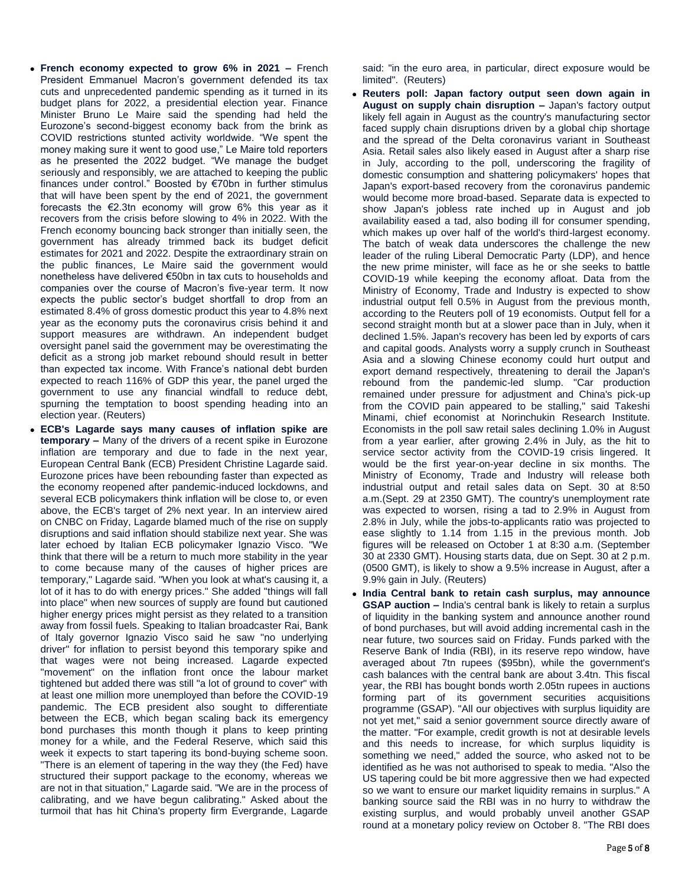- **French economy expected to grow 6% in 2021 –** French President Emmanuel Macron's government defended its tax cuts and unprecedented pandemic spending as it turned in its budget plans for 2022, a presidential election year. Finance Minister Bruno Le Maire said the spending had held the Eurozone's second-biggest economy back from the brink as COVID restrictions stunted activity worldwide. "We spent the money making sure it went to good use," Le Maire told reporters as he presented the 2022 budget. "We manage the budget seriously and responsibly, we are attached to keeping the public finances under control." Boosted by €70bn in further stimulus that will have been spent by the end of 2021, the government forecasts the €2.3tn economy will grow 6% this year as it recovers from the crisis before slowing to 4% in 2022. With the French economy bouncing back stronger than initially seen, the government has already trimmed back its budget deficit estimates for 2021 and 2022. Despite the extraordinary strain on the public finances, Le Maire said the government would nonetheless have delivered €50bn in tax cuts to households and companies over the course of Macron's five-year term. It now expects the public sector's budget shortfall to drop from an estimated 8.4% of gross domestic product this year to 4.8% next year as the economy puts the coronavirus crisis behind it and support measures are withdrawn. An independent budget oversight panel said the government may be overestimating the deficit as a strong job market rebound should result in better than expected tax income. With France's national debt burden expected to reach 116% of GDP this year, the panel urged the government to use any financial windfall to reduce debt, spurning the temptation to boost spending heading into an election year. (Reuters)
- **ECB's Lagarde says many causes of inflation spike are temporary –** Many of the drivers of a recent spike in Eurozone inflation are temporary and due to fade in the next year, European Central Bank (ECB) President Christine Lagarde said. Eurozone prices have been rebounding faster than expected as the economy reopened after pandemic-induced lockdowns, and several ECB policymakers think inflation will be close to, or even above, the ECB's target of 2% next year. In an interview aired on CNBC on Friday, Lagarde blamed much of the rise on supply disruptions and said inflation should stabilize next year. She was later echoed by Italian ECB policymaker Ignazio Visco. "We think that there will be a return to much more stability in the year to come because many of the causes of higher prices are temporary," Lagarde said. "When you look at what's causing it, a lot of it has to do with energy prices." She added "things will fall into place" when new sources of supply are found but cautioned higher energy prices might persist as they related to a transition away from fossil fuels. Speaking to Italian broadcaster Rai, Bank of Italy governor Ignazio Visco said he saw "no underlying driver" for inflation to persist beyond this temporary spike and that wages were not being increased. Lagarde expected "movement" on the inflation front once the labour market tightened but added there was still "a lot of ground to cover" with at least one million more unemployed than before the COVID-19 pandemic. The ECB president also sought to differentiate between the ECB, which began scaling back its emergency bond purchases this month though it plans to keep printing money for a while, and the Federal Reserve, which said this week it expects to start tapering its bond-buying scheme soon. "There is an element of tapering in the way they (the Fed) have structured their support package to the economy, whereas we are not in that situation," Lagarde said. "We are in the process of calibrating, and we have begun calibrating." Asked about the turmoil that has hit China's property firm Evergrande, Lagarde

said: "in the euro area, in particular, direct exposure would be limited". (Reuters)

- **Reuters poll: Japan factory output seen down again in August on supply chain disruption –** Japan's factory output likely fell again in August as the country's manufacturing sector faced supply chain disruptions driven by a global chip shortage and the spread of the Delta coronavirus variant in Southeast Asia. Retail sales also likely eased in August after a sharp rise in July, according to the poll, underscoring the fragility of domestic consumption and shattering policymakers' hopes that Japan's export-based recovery from the coronavirus pandemic would become more broad-based. Separate data is expected to show Japan's jobless rate inched up in August and job availability eased a tad, also boding ill for consumer spending, which makes up over half of the world's third-largest economy. The batch of weak data underscores the challenge the new leader of the ruling Liberal Democratic Party (LDP), and hence the new prime minister, will face as he or she seeks to battle COVID-19 while keeping the economy afloat. Data from the Ministry of Economy, Trade and Industry is expected to show industrial output fell 0.5% in August from the previous month, according to the Reuters poll of 19 economists. Output fell for a second straight month but at a slower pace than in July, when it declined 1.5%. Japan's recovery has been led by exports of cars and capital goods. Analysts worry a supply crunch in Southeast Asia and a slowing Chinese economy could hurt output and export demand respectively, threatening to derail the Japan's rebound from the pandemic-led slump. "Car production remained under pressure for adjustment and China's pick-up from the COVID pain appeared to be stalling," said Takeshi Minami, chief economist at Norinchukin Research Institute. Economists in the poll saw retail sales declining 1.0% in August from a year earlier, after growing 2.4% in July, as the hit to service sector activity from the COVID-19 crisis lingered. It would be the first year-on-year decline in six months. The Ministry of Economy, Trade and Industry will release both industrial output and retail sales data on Sept. 30 at 8:50 a.m.(Sept. 29 at 2350 GMT). The country's unemployment rate was expected to worsen, rising a tad to 2.9% in August from 2.8% in July, while the jobs-to-applicants ratio was projected to ease slightly to 1.14 from 1.15 in the previous month. Job figures will be released on October 1 at 8:30 a.m. (September 30 at 2330 GMT). Housing starts data, due on Sept. 30 at 2 p.m. (0500 GMT), is likely to show a 9.5% increase in August, after a 9.9% gain in July. (Reuters)
- **India Central bank to retain cash surplus, may announce GSAP auction –** India's central bank is likely to retain a surplus of liquidity in the banking system and announce another round of bond purchases, but will avoid adding incremental cash in the near future, two sources said on Friday. Funds parked with the Reserve Bank of India (RBI), in its reserve repo window, have averaged about 7tn rupees (\$95bn), while the government's cash balances with the central bank are about 3.4tn. This fiscal year, the RBI has bought bonds worth 2.05tn rupees in auctions forming part of its government securities acquisitions programme (GSAP). "All our objectives with surplus liquidity are not yet met," said a senior government source directly aware of the matter. "For example, credit growth is not at desirable levels and this needs to increase, for which surplus liquidity is something we need," added the source, who asked not to be identified as he was not authorised to speak to media. "Also the US tapering could be bit more aggressive then we had expected so we want to ensure our market liquidity remains in surplus." A banking source said the RBI was in no hurry to withdraw the existing surplus, and would probably unveil another GSAP round at a monetary policy review on October 8. "The RBI does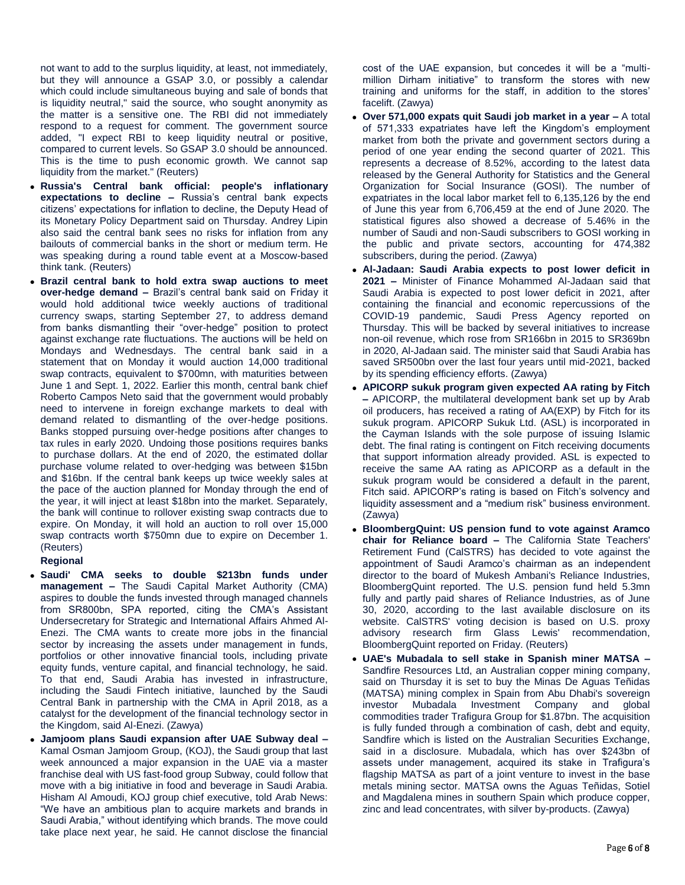not want to add to the surplus liquidity, at least, not immediately, but they will announce a GSAP 3.0, or possibly a calendar which could include simultaneous buying and sale of bonds that is liquidity neutral," said the source, who sought anonymity as the matter is a sensitive one. The RBI did not immediately respond to a request for comment. The government source added, "I expect RBI to keep liquidity neutral or positive, compared to current levels. So GSAP 3.0 should be announced. This is the time to push economic growth. We cannot sap liquidity from the market." (Reuters)

- **Russia's Central bank official: people's inflationary expectations to decline –** Russia's central bank expects citizens' expectations for inflation to decline, the Deputy Head of its Monetary Policy Department said on Thursday. Andrey Lipin also said the central bank sees no risks for inflation from any bailouts of commercial banks in the short or medium term. He was speaking during a round table event at a Moscow-based think tank. (Reuters)
- **Brazil central bank to hold extra swap auctions to meet over-hedge demand –** Brazil's central bank said on Friday it would hold additional twice weekly auctions of traditional currency swaps, starting September 27, to address demand from banks dismantling their "over-hedge" position to protect against exchange rate fluctuations. The auctions will be held on Mondays and Wednesdays. The central bank said in a statement that on Monday it would auction 14,000 traditional swap contracts, equivalent to \$700mn, with maturities between June 1 and Sept. 1, 2022. Earlier this month, central bank chief Roberto Campos Neto said that the government would probably need to intervene in foreign exchange markets to deal with demand related to dismantling of the over-hedge positions. Banks stopped pursuing over-hedge positions after changes to tax rules in early 2020. Undoing those positions requires banks to purchase dollars. At the end of 2020, the estimated dollar purchase volume related to over-hedging was between \$15bn and \$16bn. If the central bank keeps up twice weekly sales at the pace of the auction planned for Monday through the end of the year, it will inject at least \$18bn into the market. Separately, the bank will continue to rollover existing swap contracts due to expire. On Monday, it will hold an auction to roll over 15,000 swap contracts worth \$750mn due to expire on December 1. (Reuters)

### **Regional**

- **Saudi' CMA seeks to double \$213bn funds under management –** The Saudi Capital Market Authority (CMA) aspires to double the funds invested through managed channels from SR800bn, SPA reported, citing the CMA's Assistant Undersecretary for Strategic and International Affairs Ahmed Al-Enezi. The CMA wants to create more jobs in the financial sector by increasing the assets under management in funds, portfolios or other innovative financial tools, including private equity funds, venture capital, and financial technology, he said. To that end, Saudi Arabia has invested in infrastructure, including the Saudi Fintech initiative, launched by the Saudi Central Bank in partnership with the CMA in April 2018, as a catalyst for the development of the financial technology sector in the Kingdom, said Al-Enezi. (Zawya)
- **Jamjoom plans Saudi expansion after UAE Subway deal –** Kamal Osman Jamjoom Group, (KOJ), the Saudi group that last week announced a major expansion in the UAE via a master franchise deal with US fast-food group Subway, could follow that move with a big initiative in food and beverage in Saudi Arabia. Hisham Al Amoudi, KOJ group chief executive, told Arab News: "We have an ambitious plan to acquire markets and brands in Saudi Arabia," without identifying which brands. The move could take place next year, he said. He cannot disclose the financial

cost of the UAE expansion, but concedes it will be a "multimillion Dirham initiative" to transform the stores with new training and uniforms for the staff, in addition to the stores' facelift. (Zawya)

- **Over 571,000 expats quit Saudi job market in a year –** A total of 571,333 expatriates have left the Kingdom's employment market from both the private and government sectors during a period of one year ending the second quarter of 2021. This represents a decrease of 8.52%, according to the latest data released by the General Authority for Statistics and the General Organization for Social Insurance (GOSI). The number of expatriates in the local labor market fell to 6,135,126 by the end of June this year from 6,706,459 at the end of June 2020. The statistical figures also showed a decrease of 5.46% in the number of Saudi and non-Saudi subscribers to GOSI working in the public and private sectors, accounting for 474,382 subscribers, during the period. (Zawya)
- **Al-Jadaan: Saudi Arabia expects to post lower deficit in 2021 –** Minister of Finance Mohammed Al-Jadaan said that Saudi Arabia is expected to post lower deficit in 2021, after containing the financial and economic repercussions of the COVID-19 pandemic, Saudi Press Agency reported on Thursday. This will be backed by several initiatives to increase non-oil revenue, which rose from SR166bn in 2015 to SR369bn in 2020, Al-Jadaan said. The minister said that Saudi Arabia has saved SR500bn over the last four years until mid-2021, backed by its spending efficiency efforts. (Zawya)
- **APICORP sukuk program given expected AA rating by Fitch –** APICORP, the multilateral development bank set up by Arab oil producers, has received a rating of AA(EXP) by Fitch for its sukuk program. APICORP Sukuk Ltd. (ASL) is incorporated in the Cayman Islands with the sole purpose of issuing Islamic debt. The final rating is contingent on Fitch receiving documents that support information already provided. ASL is expected to receive the same AA rating as APICORP as a default in the sukuk program would be considered a default in the parent, Fitch said. APICORP's rating is based on Fitch's solvency and liquidity assessment and a "medium risk" business environment. (Zawya)
- **BloombergQuint: US pension fund to vote against Aramco chair for Reliance board –** The California State Teachers' Retirement Fund (CalSTRS) has decided to vote against the appointment of Saudi Aramco's chairman as an independent director to the board of Mukesh Ambani's Reliance Industries, BloombergQuint reported. The U.S. pension fund held 5.3mn fully and partly paid shares of Reliance Industries, as of June 30, 2020, according to the last available disclosure on its website. CalSTRS' voting decision is based on U.S. proxy advisory research firm Glass Lewis' recommendation, BloombergQuint reported on Friday. (Reuters)
- **UAE's Mubadala to sell stake in Spanish miner MATSA –** Sandfire Resources Ltd, an Australian copper mining company, said on Thursday it is set to buy the Minas De Aguas Teñidas (MATSA) mining complex in Spain from Abu Dhabi's sovereign investor Mubadala Investment Company and global commodities trader Trafigura Group for \$1.87bn. The acquisition is fully funded through a combination of cash, debt and equity, Sandfire which is listed on the Australian Securities Exchange, said in a disclosure. Mubadala, which has over \$243bn of assets under management, acquired its stake in Trafigura's flagship MATSA as part of a joint venture to invest in the base metals mining sector. MATSA owns the Aguas Teñidas, Sotiel and Magdalena mines in southern Spain which produce copper, zinc and lead concentrates, with silver by-products. (Zawya)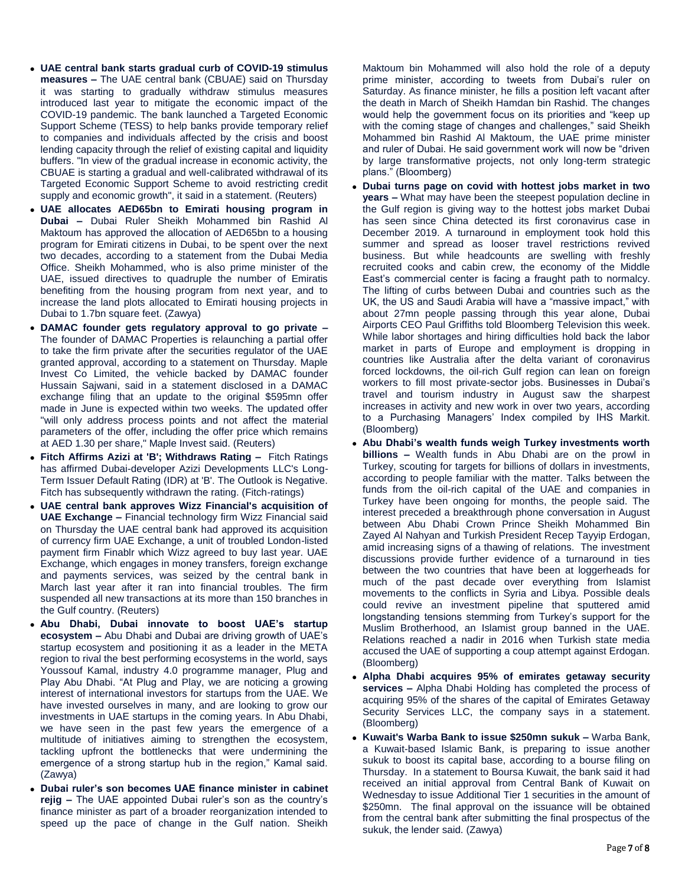- **UAE central bank starts gradual curb of COVID-19 stimulus measures –** The UAE central bank (CBUAE) said on Thursday it was starting to gradually withdraw stimulus measures introduced last year to mitigate the economic impact of the COVID-19 pandemic. The bank launched a Targeted Economic Support Scheme (TESS) to help banks provide temporary relief to companies and individuals affected by the crisis and boost lending capacity through the relief of existing capital and liquidity buffers. "In view of the gradual increase in economic activity, the CBUAE is starting a gradual and well-calibrated withdrawal of its Targeted Economic Support Scheme to avoid restricting credit supply and economic growth", it said in a statement. (Reuters)
- **UAE allocates AED65bn to Emirati housing program in Dubai –** Dubai Ruler Sheikh Mohammed bin Rashid Al Maktoum has approved the allocation of AED65bn to a housing program for Emirati citizens in Dubai, to be spent over the next two decades, according to a statement from the Dubai Media Office. Sheikh Mohammed, who is also prime minister of the UAE, issued directives to quadruple the number of Emiratis benefiting from the housing program from next year, and to increase the land plots allocated to Emirati housing projects in Dubai to 1.7bn square feet. (Zawya)
- **DAMAC founder gets regulatory approval to go private –** The founder of DAMAC Properties is relaunching a partial offer to take the firm private after the securities regulator of the UAE granted approval, according to a statement on Thursday. Maple Invest Co Limited, the vehicle backed by DAMAC founder Hussain Sajwani, said in a statement disclosed in a DAMAC exchange filing that an update to the original \$595mn offer made in June is expected within two weeks. The updated offer "will only address process points and not affect the material parameters of the offer, including the offer price which remains at AED 1.30 per share," Maple Invest said. (Reuters)
- **Fitch Affirms Azizi at 'B'; Withdraws Rating –** Fitch Ratings has affirmed Dubai-developer Azizi Developments LLC's Long-Term Issuer Default Rating (IDR) at 'B'. The Outlook is Negative. Fitch has subsequently withdrawn the rating. (Fitch-ratings)
- **UAE central bank approves Wizz Financial's acquisition of UAE Exchange –** Financial technology firm Wizz Financial said on Thursday the UAE central bank had approved its acquisition of currency firm UAE Exchange, a unit of troubled London-listed payment firm Finablr which Wizz agreed to buy last year. UAE Exchange, which engages in money transfers, foreign exchange and payments services, was seized by the central bank in March last year after it ran into financial troubles. The firm suspended all new transactions at its more than 150 branches in the Gulf country. (Reuters)
- **Abu Dhabi, Dubai innovate to boost UAE's startup ecosystem –** Abu Dhabi and Dubai are driving growth of UAE's startup ecosystem and positioning it as a leader in the META region to rival the best performing ecosystems in the world, says Youssouf Kamal, industry 4.0 programme manager, Plug and Play Abu Dhabi. "At Plug and Play, we are noticing a growing interest of international investors for startups from the UAE. We have invested ourselves in many, and are looking to grow our investments in UAE startups in the coming years. In Abu Dhabi, we have seen in the past few years the emergence of a multitude of initiatives aiming to strengthen the ecosystem, tackling upfront the bottlenecks that were undermining the emergence of a strong startup hub in the region," Kamal said. (Zawya)
- **Dubai ruler's son becomes UAE finance minister in cabinet rejig –** The UAE appointed Dubai ruler's son as the country's finance minister as part of a broader reorganization intended to speed up the pace of change in the Gulf nation. Sheikh

Maktoum bin Mohammed will also hold the role of a deputy prime minister, according to tweets from Dubai's ruler on Saturday. As finance minister, he fills a position left vacant after the death in March of Sheikh Hamdan bin Rashid. The changes would help the government focus on its priorities and "keep up with the coming stage of changes and challenges," said Sheikh Mohammed bin Rashid Al Maktoum, the UAE prime minister and ruler of Dubai. He said government work will now be "driven by large transformative projects, not only long-term strategic plans." (Bloomberg)

- **Dubai turns page on covid with hottest jobs market in two years –** What may have been the steepest population decline in the Gulf region is giving way to the hottest jobs market Dubai has seen since China detected its first coronavirus case in December 2019. A turnaround in employment took hold this summer and spread as looser travel restrictions revived business. But while headcounts are swelling with freshly recruited cooks and cabin crew, the economy of the Middle East's commercial center is facing a fraught path to normalcy. The lifting of curbs between Dubai and countries such as the UK, the US and Saudi Arabia will have a "massive impact," with about 27mn people passing through this year alone, Dubai Airports CEO Paul Griffiths told Bloomberg Television this week. While labor shortages and hiring difficulties hold back the labor market in parts of Europe and employment is dropping in countries like Australia after the delta variant of coronavirus forced lockdowns, the oil-rich Gulf region can lean on foreign workers to fill most private-sector jobs. Businesses in Dubai's travel and tourism industry in August saw the sharpest increases in activity and new work in over two years, according to a Purchasing Managers' Index compiled by IHS Markit. (Bloomberg)
- **Abu Dhabi's wealth funds weigh Turkey investments worth billions –** Wealth funds in Abu Dhabi are on the prowl in Turkey, scouting for targets for billions of dollars in investments, according to people familiar with the matter. Talks between the funds from the oil-rich capital of the UAE and companies in Turkey have been ongoing for months, the people said. The interest preceded a breakthrough phone conversation in August between Abu Dhabi Crown Prince Sheikh Mohammed Bin Zayed Al Nahyan and Turkish President Recep Tayyip Erdogan, amid increasing signs of a thawing of relations. The investment discussions provide further evidence of a turnaround in ties between the two countries that have been at loggerheads for much of the past decade over everything from Islamist movements to the conflicts in Syria and Libya. Possible deals could revive an investment pipeline that sputtered amid longstanding tensions stemming from Turkey's support for the Muslim Brotherhood, an Islamist group banned in the UAE. Relations reached a nadir in 2016 when Turkish state media accused the UAE of supporting a coup attempt against Erdogan. (Bloomberg)
- **Alpha Dhabi acquires 95% of emirates getaway security services –** Alpha Dhabi Holding has completed the process of acquiring 95% of the shares of the capital of Emirates Getaway Security Services LLC, the company says in a statement. (Bloomberg)
- **Kuwait's Warba Bank to issue \$250mn sukuk –** Warba Bank, a Kuwait-based Islamic Bank, is preparing to issue another sukuk to boost its capital base, according to a bourse filing on Thursday. In a statement to Boursa Kuwait, the bank said it had received an initial approval from Central Bank of Kuwait on Wednesday to issue Additional Tier 1 securities in the amount of \$250mn. The final approval on the issuance will be obtained from the central bank after submitting the final prospectus of the sukuk, the lender said. (Zawya)